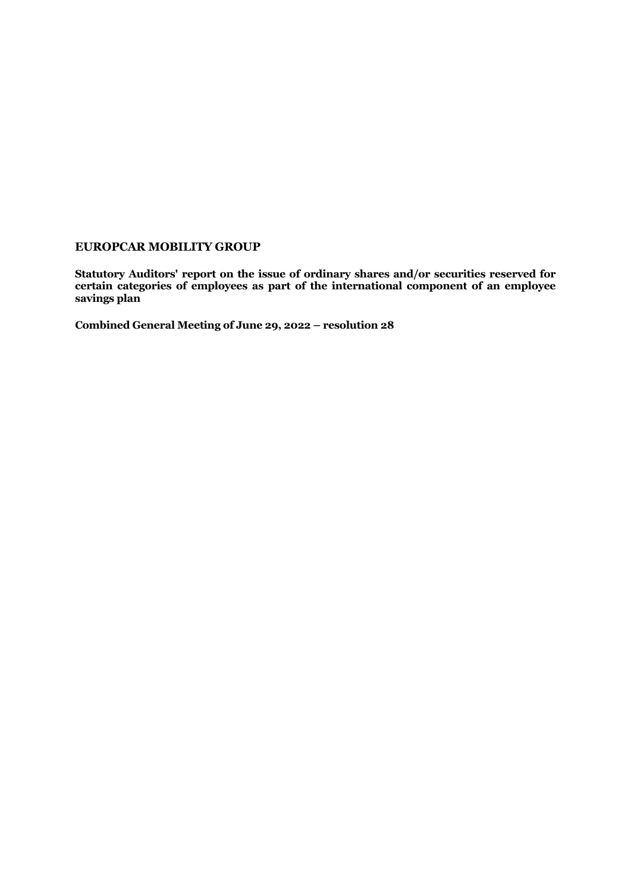## **EUROPCAR MOBILITY GROUP**

**Statutory Auditors' report on the issue of ordinary shares and/or securities reserved for certain categories of employees as part of the international component of an employee savings plan**

**Combined General Meeting of June 29, 2022 – resolution 28**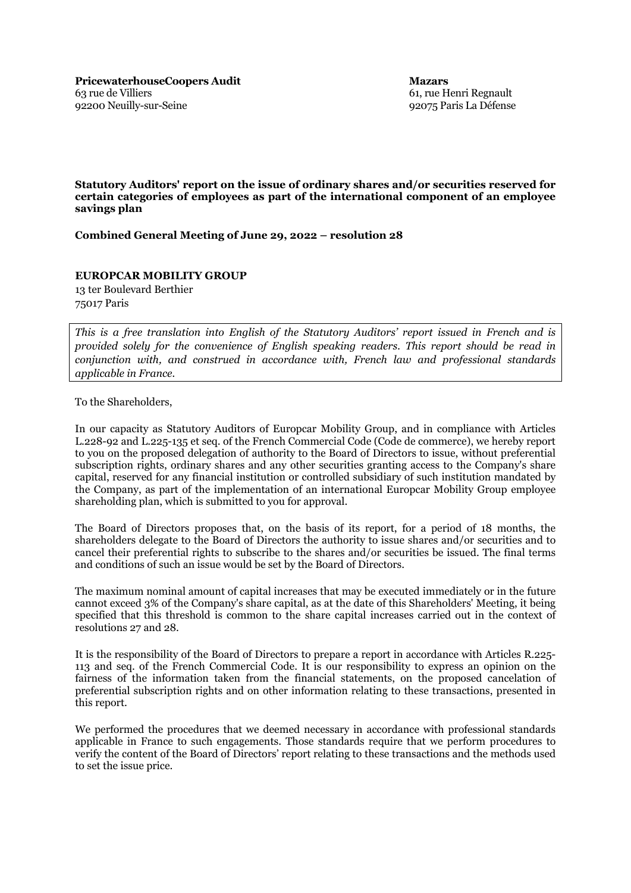**PricewaterhouseCoopers Audit** 63 rue de Villiers 92200 Neuilly-sur-Seine

**Mazars** 61, rue Henri Regnault 92075 Paris La Défense

**Statutory Auditors' report on the issue of ordinary shares and/or securities reserved for certain categories of employees as part of the international component of an employee savings plan**

**Combined General Meeting of June 29, 2022 – resolution 28**

**EUROPCAR MOBILITY GROUP**

13 ter Boulevard Berthier 75017 Paris

*This is a free translation into English of the Statutory Auditors' report issued in French and is provided solely for the convenience of English speaking readers. This report should be read in conjunction with, and construed in accordance with, French law and professional standards applicable in France.*

To the Shareholders,

In our capacity as Statutory Auditors of Europcar Mobility Group, and in compliance with Articles L.228-92 and L.225-135 et seq. of the French Commercial Code (Code de commerce), we hereby report to you on the proposed delegation of authority to the Board of Directors to issue, without preferential subscription rights, ordinary shares and any other securities granting access to the Company's share capital, reserved for any financial institution or controlled subsidiary of such institution mandated by the Company, as part of the implementation of an international Europcar Mobility Group employee shareholding plan, which is submitted to you for approval.

The Board of Directors proposes that, on the basis of its report, for a period of 18 months, the shareholders delegate to the Board of Directors the authority to issue shares and/or securities and to cancel their preferential rights to subscribe to the shares and/or securities be issued. The final terms and conditions of such an issue would be set by the Board of Directors.

The maximum nominal amount of capital increases that may be executed immediately or in the future cannot exceed 3% of the Company's share capital, as at the date of this Shareholders' Meeting, it being specified that this threshold is common to the share capital increases carried out in the context of resolutions 27 and 28.

It is the responsibility of the Board of Directors to prepare a report in accordance with Articles R.225- 113 and seq. of the French Commercial Code. It is our responsibility to express an opinion on the fairness of the information taken from the financial statements, on the proposed cancelation of preferential subscription rights and on other information relating to these transactions, presented in this report.

We performed the procedures that we deemed necessary in accordance with professional standards applicable in France to such engagements. Those standards require that we perform procedures to verify the content of the Board of Directors' report relating to these transactions and the methods used to set the issue price.